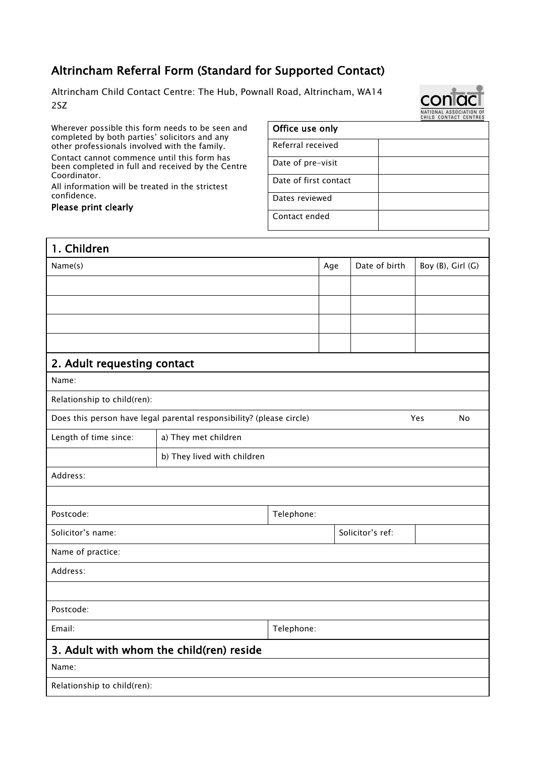## Altrincham Referral Form (Standard for Supported Contact)

Altrincham Child Contact Centre: The Hub, Pownall Road, Altrincham, WA14 2SZ

Wherever possible this form needs to be seen and completed by both parties' solicitors and any other professionals involved with the family.

Contact cannot commence until this form has been completed in full and received by the Centre Coordinator.

All information will be treated in the strictest confidence.

## Please print clearly

## Office use only Referral received Date of pre-visit Date of first contact Dates reviewed Contact ended

| 1. Children                                                                 |                             |            |     |                  |                   |  |
|-----------------------------------------------------------------------------|-----------------------------|------------|-----|------------------|-------------------|--|
| Name(s)                                                                     |                             |            | Age | Date of birth    | Boy (B), Girl (G) |  |
|                                                                             |                             |            |     |                  |                   |  |
|                                                                             |                             |            |     |                  |                   |  |
|                                                                             |                             |            |     |                  |                   |  |
|                                                                             |                             |            |     |                  |                   |  |
| 2. Adult requesting contact                                                 |                             |            |     |                  |                   |  |
| Name:                                                                       |                             |            |     |                  |                   |  |
| Relationship to child(ren):                                                 |                             |            |     |                  |                   |  |
| Does this person have legal parental responsibility? (please circle)<br>Yes |                             |            |     |                  | No                |  |
| Length of time since:                                                       | a) They met children        |            |     |                  |                   |  |
|                                                                             | b) They lived with children |            |     |                  |                   |  |
| Address:                                                                    |                             |            |     |                  |                   |  |
|                                                                             |                             |            |     |                  |                   |  |
| Postcode:                                                                   |                             | Telephone: |     |                  |                   |  |
| Solicitor's name:                                                           |                             |            |     | Solicitor's ref: |                   |  |
| Name of practice:                                                           |                             |            |     |                  |                   |  |
| Address:                                                                    |                             |            |     |                  |                   |  |
|                                                                             |                             |            |     |                  |                   |  |
| Postcode:                                                                   |                             |            |     |                  |                   |  |
| Email:<br>Telephone:                                                        |                             |            |     |                  |                   |  |
| 3. Adult with whom the child(ren) reside                                    |                             |            |     |                  |                   |  |
| Name:                                                                       |                             |            |     |                  |                   |  |
| Relationship to child(ren):                                                 |                             |            |     |                  |                   |  |
|                                                                             |                             |            |     |                  |                   |  |

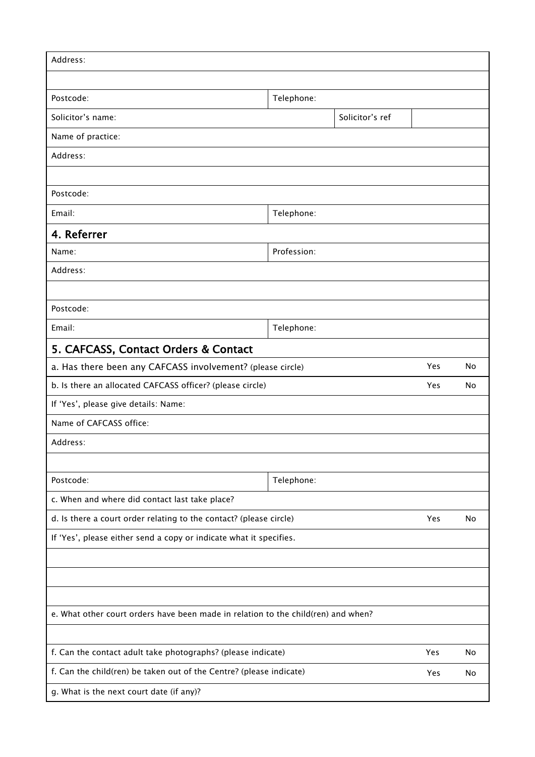| Address:                                                                          |            |                 |     |    |  |
|-----------------------------------------------------------------------------------|------------|-----------------|-----|----|--|
|                                                                                   |            |                 |     |    |  |
| Postcode:                                                                         | Telephone: |                 |     |    |  |
| Solicitor's name:                                                                 |            | Solicitor's ref |     |    |  |
| Name of practice:                                                                 |            |                 |     |    |  |
| Address:                                                                          |            |                 |     |    |  |
|                                                                                   |            |                 |     |    |  |
| Postcode:                                                                         |            |                 |     |    |  |
| Email:                                                                            | Telephone: |                 |     |    |  |
| 4. Referrer                                                                       |            |                 |     |    |  |
| Profession:<br>Name:                                                              |            |                 |     |    |  |
| Address:                                                                          |            |                 |     |    |  |
|                                                                                   |            |                 |     |    |  |
| Postcode:                                                                         |            |                 |     |    |  |
| Email:                                                                            | Telephone: |                 |     |    |  |
| 5. CAFCASS, Contact Orders & Contact                                              |            |                 |     |    |  |
| a. Has there been any CAFCASS involvement? (please circle)                        |            |                 | Yes | No |  |
| b. Is there an allocated CAFCASS officer? (please circle)                         |            |                 | Yes | No |  |
| If 'Yes', please give details: Name:                                              |            |                 |     |    |  |
| Name of CAFCASS office:                                                           |            |                 |     |    |  |
| Address:                                                                          |            |                 |     |    |  |
|                                                                                   |            |                 |     |    |  |
| Postcode:                                                                         | Telephone: |                 |     |    |  |
| c. When and where did contact last take place?                                    |            |                 |     |    |  |
| d. Is there a court order relating to the contact? (please circle)                |            |                 | Yes | No |  |
| If 'Yes', please either send a copy or indicate what it specifies.                |            |                 |     |    |  |
|                                                                                   |            |                 |     |    |  |
|                                                                                   |            |                 |     |    |  |
|                                                                                   |            |                 |     |    |  |
| e. What other court orders have been made in relation to the child(ren) and when? |            |                 |     |    |  |
|                                                                                   |            |                 |     |    |  |
| f. Can the contact adult take photographs? (please indicate)                      |            |                 | Yes | No |  |
| f. Can the child(ren) be taken out of the Centre? (please indicate)               |            |                 | Yes | No |  |
| g. What is the next court date (if any)?                                          |            |                 |     |    |  |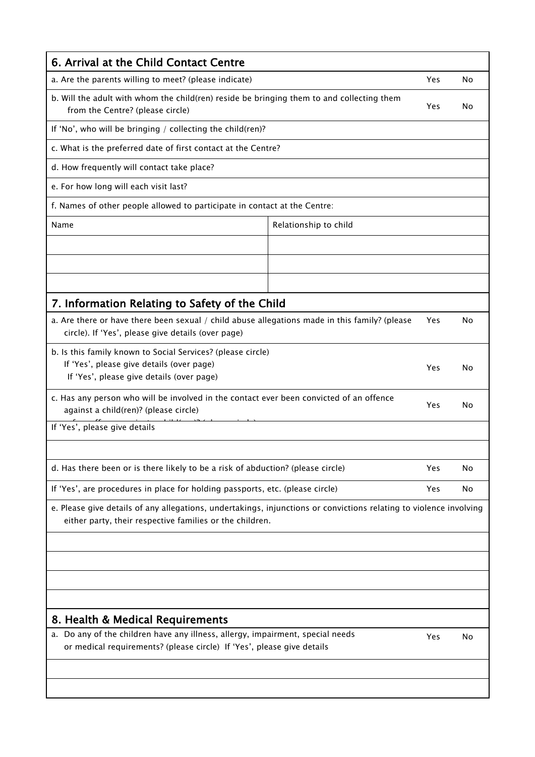| 6. Arrival at the Child Contact Centre                                                                                                                                         |                       |     |     |  |
|--------------------------------------------------------------------------------------------------------------------------------------------------------------------------------|-----------------------|-----|-----|--|
| a. Are the parents willing to meet? (please indicate)                                                                                                                          |                       |     | No  |  |
| b. Will the adult with whom the child(ren) reside be bringing them to and collecting them<br>from the Centre? (please circle)                                                  |                       |     | No  |  |
| If 'No', who will be bringing / collecting the child(ren)?                                                                                                                     |                       |     |     |  |
| c. What is the preferred date of first contact at the Centre?                                                                                                                  |                       |     |     |  |
| d. How frequently will contact take place?                                                                                                                                     |                       |     |     |  |
| e. For how long will each visit last?                                                                                                                                          |                       |     |     |  |
| f. Names of other people allowed to participate in contact at the Centre:                                                                                                      |                       |     |     |  |
| Name                                                                                                                                                                           | Relationship to child |     |     |  |
|                                                                                                                                                                                |                       |     |     |  |
|                                                                                                                                                                                |                       |     |     |  |
|                                                                                                                                                                                |                       |     |     |  |
| 7. Information Relating to Safety of the Child                                                                                                                                 |                       |     |     |  |
| a. Are there or have there been sexual / child abuse allegations made in this family? (please<br>circle). If 'Yes', please give details (over page)                            |                       |     | No  |  |
| b. Is this family known to Social Services? (please circle)<br>If 'Yes', please give details (over page)<br>If 'Yes', please give details (over page)                          |                       | Yes | N٥  |  |
| c. Has any person who will be involved in the contact ever been convicted of an offence<br>against a child(ren)? (please circle)                                               |                       | Yes | No  |  |
| If 'Yes', please give details                                                                                                                                                  |                       |     |     |  |
|                                                                                                                                                                                |                       |     |     |  |
| d. Has there been or is there likely to be a risk of abduction? (please circle)                                                                                                |                       |     | No  |  |
| If 'Yes', are procedures in place for holding passports, etc. (please circle)                                                                                                  |                       |     | No. |  |
| e. Please give details of any allegations, undertakings, injunctions or convictions relating to violence involving<br>either party, their respective families or the children. |                       |     |     |  |
|                                                                                                                                                                                |                       |     |     |  |
|                                                                                                                                                                                |                       |     |     |  |
|                                                                                                                                                                                |                       |     |     |  |
|                                                                                                                                                                                |                       |     |     |  |
| 8. Health & Medical Requirements                                                                                                                                               |                       |     |     |  |
| a. Do any of the children have any illness, allergy, impairment, special needs<br>or medical requirements? (please circle) If 'Yes', please give details                       |                       | Yes | No  |  |
|                                                                                                                                                                                |                       |     |     |  |
|                                                                                                                                                                                |                       |     |     |  |